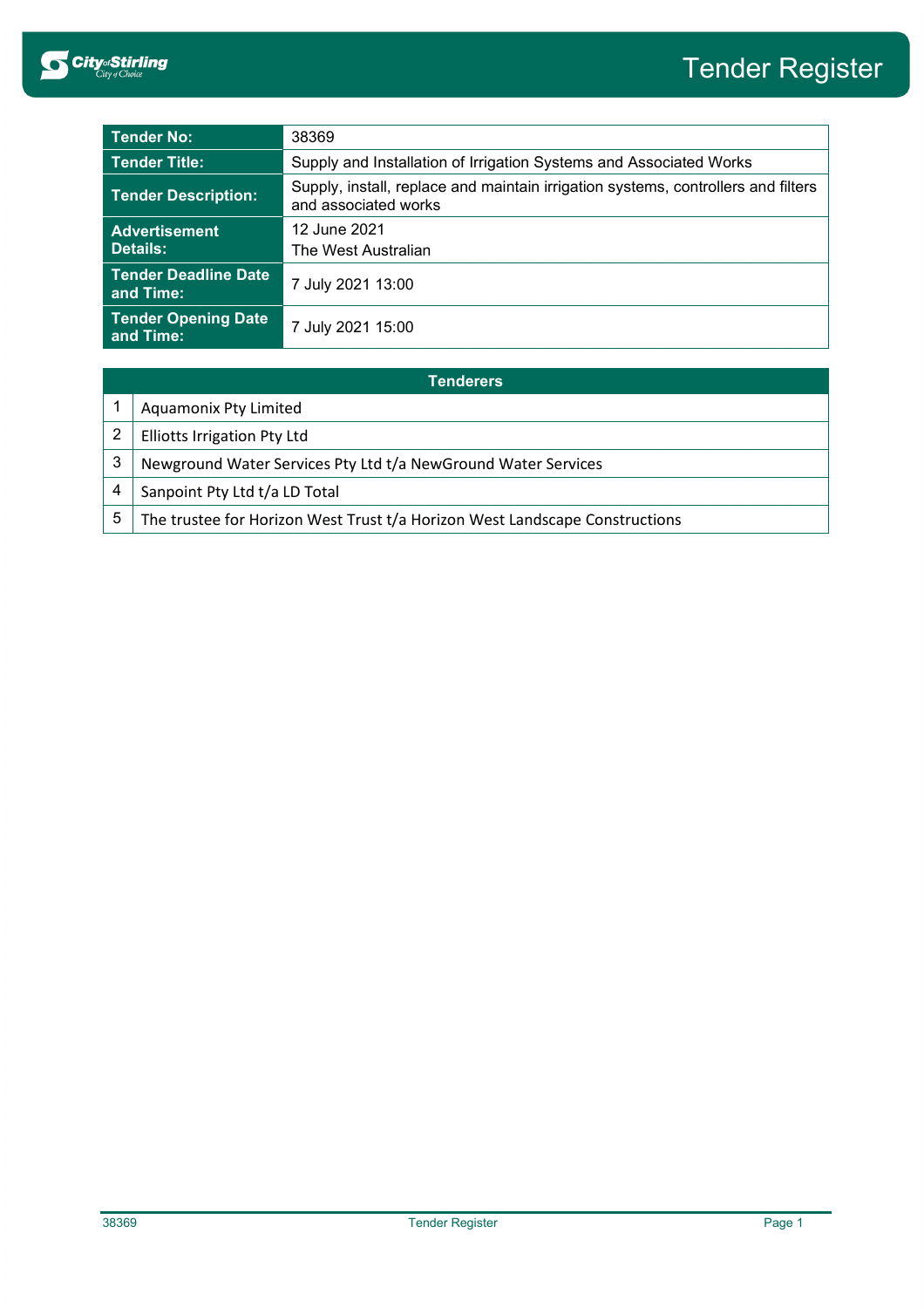

| <b>Tender No:</b>                        | 38369                                                                                                     |  |
|------------------------------------------|-----------------------------------------------------------------------------------------------------------|--|
| <b>Tender Title:</b>                     | Supply and Installation of Irrigation Systems and Associated Works                                        |  |
| <b>Tender Description:</b>               | Supply, install, replace and maintain irrigation systems, controllers and filters<br>and associated works |  |
| <b>Advertisement</b>                     | 12 June 2021                                                                                              |  |
| Details:                                 | The West Australian                                                                                       |  |
| <b>Tender Deadline Date</b><br>and Time: | 7 July 2021 13:00                                                                                         |  |
| <b>Tender Opening Date</b><br>and Time:  | 7 July 2021 15:00                                                                                         |  |

| Tenderers |                                                                             |  |
|-----------|-----------------------------------------------------------------------------|--|
|           | Aquamonix Pty Limited                                                       |  |
|           | <b>Elliotts Irrigation Pty Ltd</b>                                          |  |
| 3         | Newground Water Services Pty Ltd t/a NewGround Water Services               |  |
| 4         | Sanpoint Pty Ltd t/a LD Total                                               |  |
| 5         | The trustee for Horizon West Trust t/a Horizon West Landscape Constructions |  |